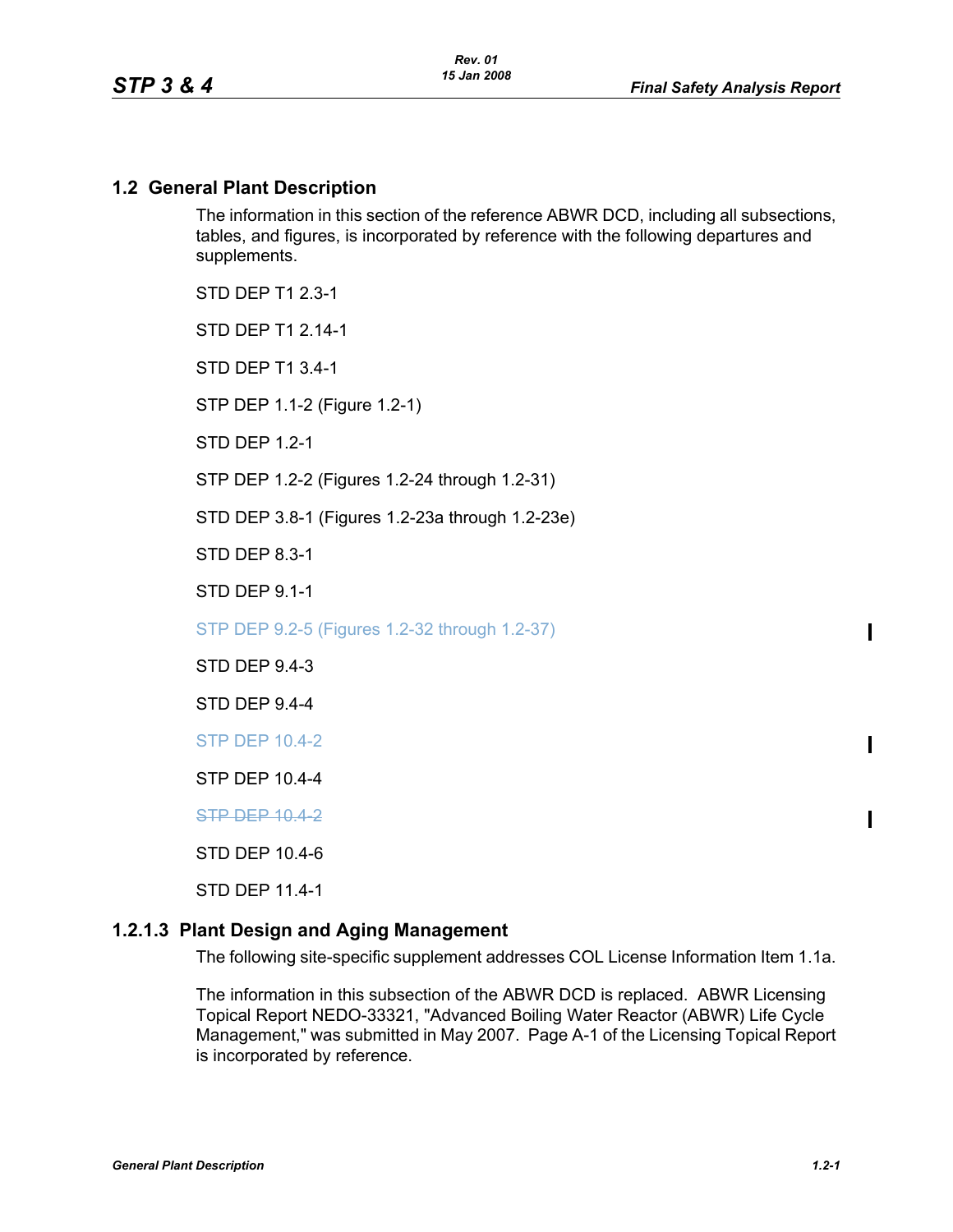#### **1.2 General Plant Description**

The information in this section of the reference ABWR DCD, including all subsections, tables, and figures, is incorporated by reference with the following departures and supplements.

STD DEP T1 2.3-1

STD DFP T1 2 14-1

STD DEP T1 3.4-1

STP DEP 1.1-2 (Figure 1.2-1)

STD DEP 1.2-1

STP DEP 1.2-2 (Figures 1.2-24 through 1.2-31)

STD DEP 3.8-1 (Figures 1.2-23a through 1.2-23e)

STD DEP 8.3-1

STD DEP 9.1-1

STP DEP 9.2-5 (Figures 1.2-32 through 1.2-37)

STD DEP 9.4-3

STD DEP 9.4-4

STP DEP 10.4-2

STP DEP 10.4-4

**STP DEP 10.4-2** 

STD DEP 10.4-6

STD DEP 11.4-1

#### <span id="page-0-0"></span>**1.2.1.3 Plant Design and Aging Management**

The following site-specific supplement addresses COL License Information Item 1.1a.

The information in this subsection of the ABWR DCD is replaced. ABWR Licensing Topical Report NEDO-33321, "Advanced Boiling Water Reactor (ABWR) Life Cycle Management," was submitted in May 2007. Page A-1 of the Licensing Topical Report is incorporated by reference.

 $\blacksquare$ 

 $\blacksquare$ 

Π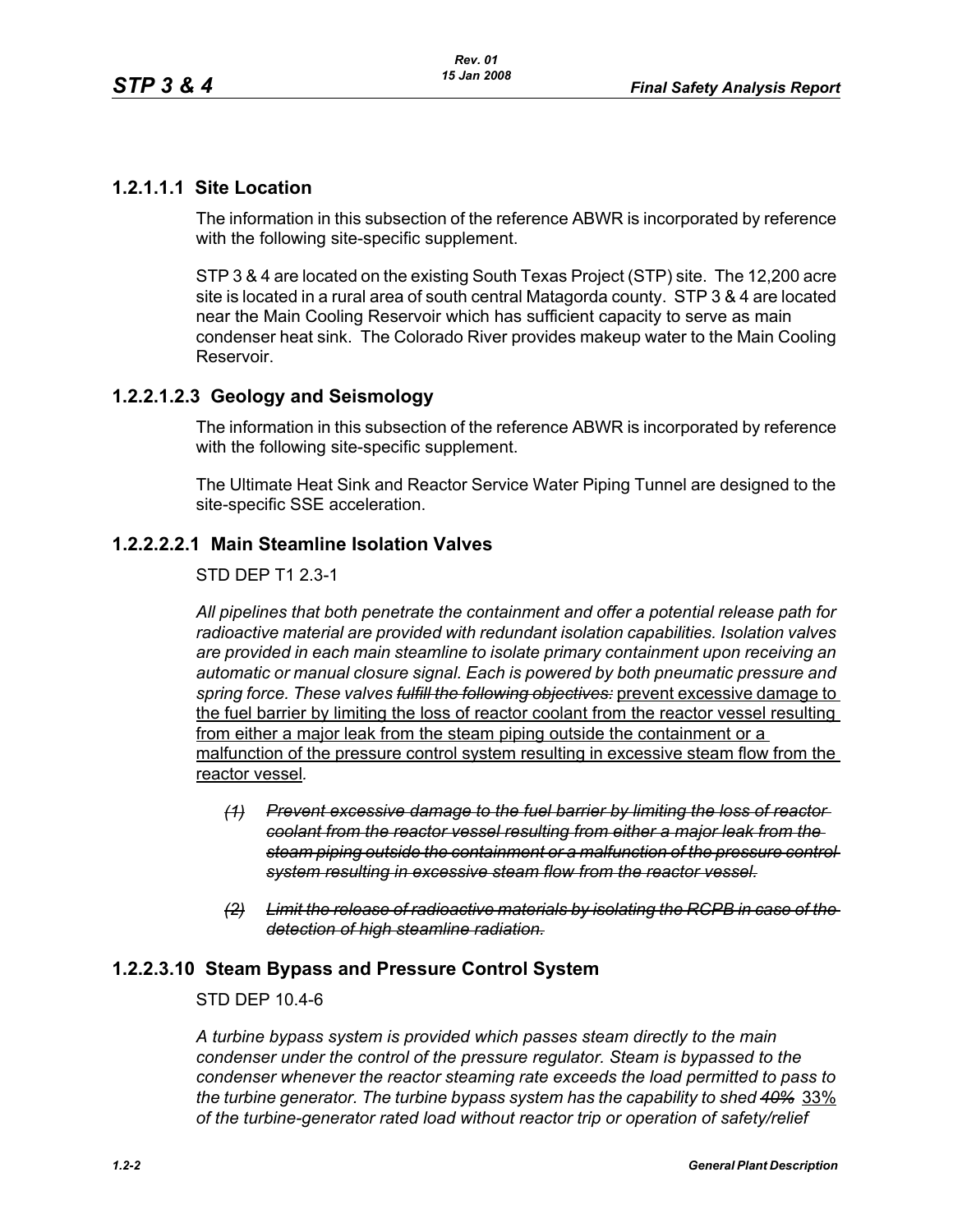# **1.2.1.1.1 Site Location**

The information in this subsection of the reference ABWR is incorporated by reference with the following site-specific supplement.

STP 3 & 4 are located on the existing South Texas Project (STP) site. The 12,200 acre site is located in a rural area of south central Matagorda county. STP 3 & 4 are located near the Main Cooling Reservoir which has sufficient capacity to serve as main condenser heat sink. The Colorado River provides makeup water to the Main Cooling Reservoir.

# **1.2.2.1.2.3 Geology and Seismology**

The information in this subsection of the reference ABWR is incorporated by reference with the following site-specific supplement.

The Ultimate Heat Sink and Reactor Service Water Piping Tunnel are designed to the site-specific SSE acceleration.

# **1.2.2.2.2.1 Main Steamline Isolation Valves**

### STD DEP T1 2.3-1

*All pipelines that both penetrate the containment and offer a potential release path for radioactive material are provided with redundant isolation capabilities. Isolation valves are provided in each main steamline to isolate primary containment upon receiving an automatic or manual closure signal. Each is powered by both pneumatic pressure and spring force. These valves fulfill the following objectives:* prevent excessive damage to the fuel barrier by limiting the loss of reactor coolant from the reactor vessel resulting from either a major leak from the steam piping outside the containment or a malfunction of the pressure control system resulting in excessive steam flow from the reactor vessel*.*

- *(1) Prevent excessive damage to the fuel barrier by limiting the loss of reactor coolant from the reactor vessel resulting from either a major leak from the steam piping outside the containment or a malfunction of the pressure control system resulting in excessive steam flow from the reactor vessel.*
- *(2) Limit the release of radioactive materials by isolating the RCPB in case of the detection of high steamline radiation.*

# **1.2.2.3.10 Steam Bypass and Pressure Control System**

#### STD DEP 10.4-6

*A turbine bypass system is provided which passes steam directly to the main condenser under the control of the pressure regulator. Steam is bypassed to the condenser whenever the reactor steaming rate exceeds the load permitted to pass to the turbine generator. The turbine bypass system has the capability to shed 40%* 33% *of the turbine-generator rated load without reactor trip or operation of safety/relief*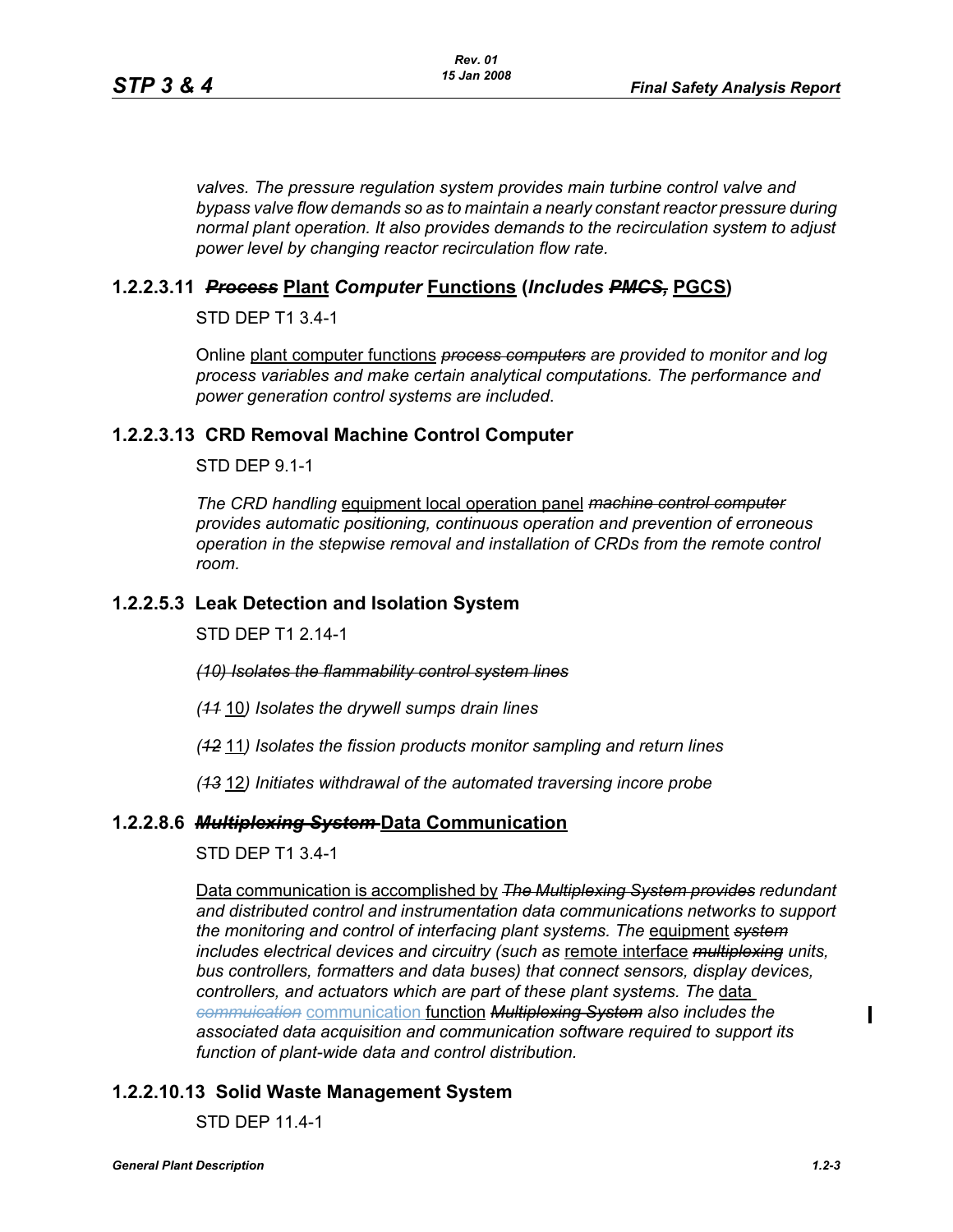*valves. The pressure regulation system provides main turbine control valve and bypass valve flow demands so as to maintain a nearly constant reactor pressure during normal plant operation. It also provides demands to the recirculation system to adjust power level by changing reactor recirculation flow rate.*

### **1.2.2.3.11** *Process* **Plant** *Computer* **Functions (***Includes PMCS,* **PGCS)**

STD DEP T1 3.4-1

Online plant computer functions *process computers are provided to monitor and log process variables and make certain analytical computations. The performance and power generation control systems are included*.

### **1.2.2.3.13 CRD Removal Machine Control Computer**

STD DEP 9.1-1

*The CRD handling* equipment local operation panel *machine control computer provides automatic positioning, continuous operation and prevention of erroneous operation in the stepwise removal and installation of CRDs from the remote control room.*

### **1.2.2.5.3 Leak Detection and Isolation System**

STD DEP T1 2.14-1

*(10) Isolates the flammability control system lines*

*(11* 10*) Isolates the drywell sumps drain lines*

*(12* 11*) Isolates the fission products monitor sampling and return lines*

*(13* 12*) Initiates withdrawal of the automated traversing incore probe*

#### **1.2.2.8.6** *Multiplexing System* **Data Communication**

STD DEP T1 3.4-1

Data communication is accomplished by *The Multiplexing System provides redundant and distributed control and instrumentation data communications networks to support the monitoring and control of interfacing plant systems. The* equipment *system includes electrical devices and circuitry (such as* remote interface *multiplexing units, bus controllers, formatters and data buses) that connect sensors, display devices, controllers, and actuators which are part of these plant systems. The* data *commuication* communication function *Multiplexing System also includes the associated data acquisition and communication software required to support its function of plant-wide data and control distribution.*

# **1.2.2.10.13 Solid Waste Management System**

STD DEP 11.4-1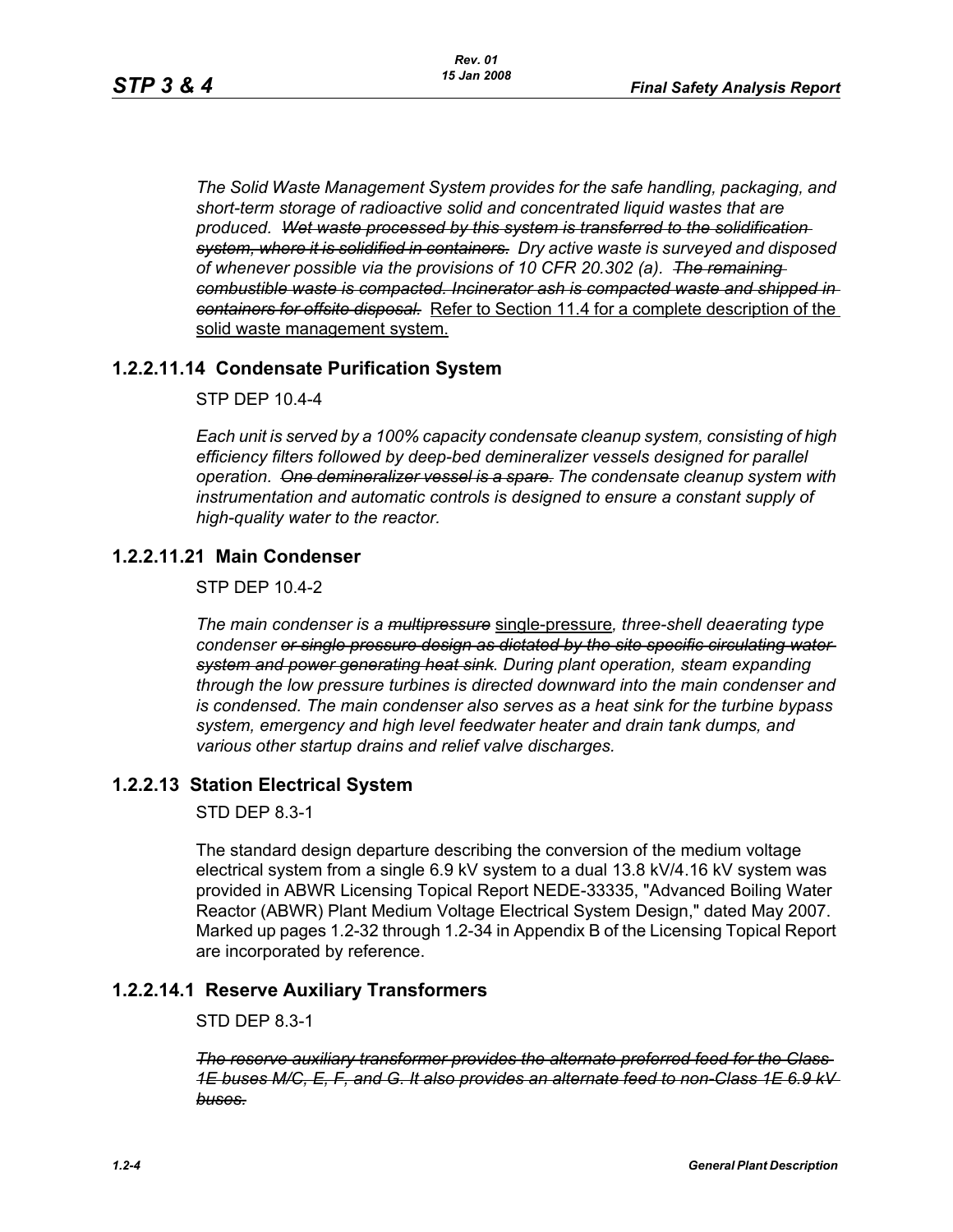*The Solid Waste Management System provides for the safe handling, packaging, and short-term storage of radioactive solid and concentrated liquid wastes that are produced. Wet waste processed by this system is transferred to the solidification system, where it is solidified in containers. Dry active waste is surveyed and disposed of whenever possible via the provisions of 10 CFR 20.302 (a). The remaining combustible waste is compacted. Incinerator ash is compacted waste and shipped in containers for offsite disposal.* Refer to Section 11.4 for a complete description of the solid waste management system.

# **1.2.2.11.14 Condensate Purification System**

STP DEP 10.4-4

*Each unit is served by a 100% capacity condensate cleanup system, consisting of high efficiency filters followed by deep-bed demineralizer vessels designed for parallel operation. One demineralizer vessel is a spare. The condensate cleanup system with instrumentation and automatic controls is designed to ensure a constant supply of high-quality water to the reactor.*

# **1.2.2.11.21 Main Condenser**

STP DEP 10.4-2

*The main condenser is a multipressure* single-pressure*, three-shell deaerating type condenser or single pressure design as dictated by the site specific circulating water system and power generating heat sink. During plant operation, steam expanding through the low pressure turbines is directed downward into the main condenser and is condensed. The main condenser also serves as a heat sink for the turbine bypass system, emergency and high level feedwater heater and drain tank dumps, and various other startup drains and relief valve discharges.*

# **1.2.2.13 Station Electrical System**

STD DEP 8.3-1

The standard design departure describing the conversion of the medium voltage electrical system from a single 6.9 kV system to a dual 13.8 kV/4.16 kV system was provided in ABWR Licensing Topical Report NEDE-33335, "Advanced Boiling Water Reactor (ABWR) Plant Medium Voltage Electrical System Design," dated May 2007. Marked up pages 1.2-32 through 1.2-34 in Appendix B of the Licensing Topical Report are incorporated by reference.

# **1.2.2.14.1 Reserve Auxiliary Transformers**

STD DEP 8.3-1

*The reserve auxiliary transformer provides the alternate preferred feed for the Class 1E buses M/C, E, F, and G. It also provides an alternate feed to non-Class 1E 6.9 kV buses.*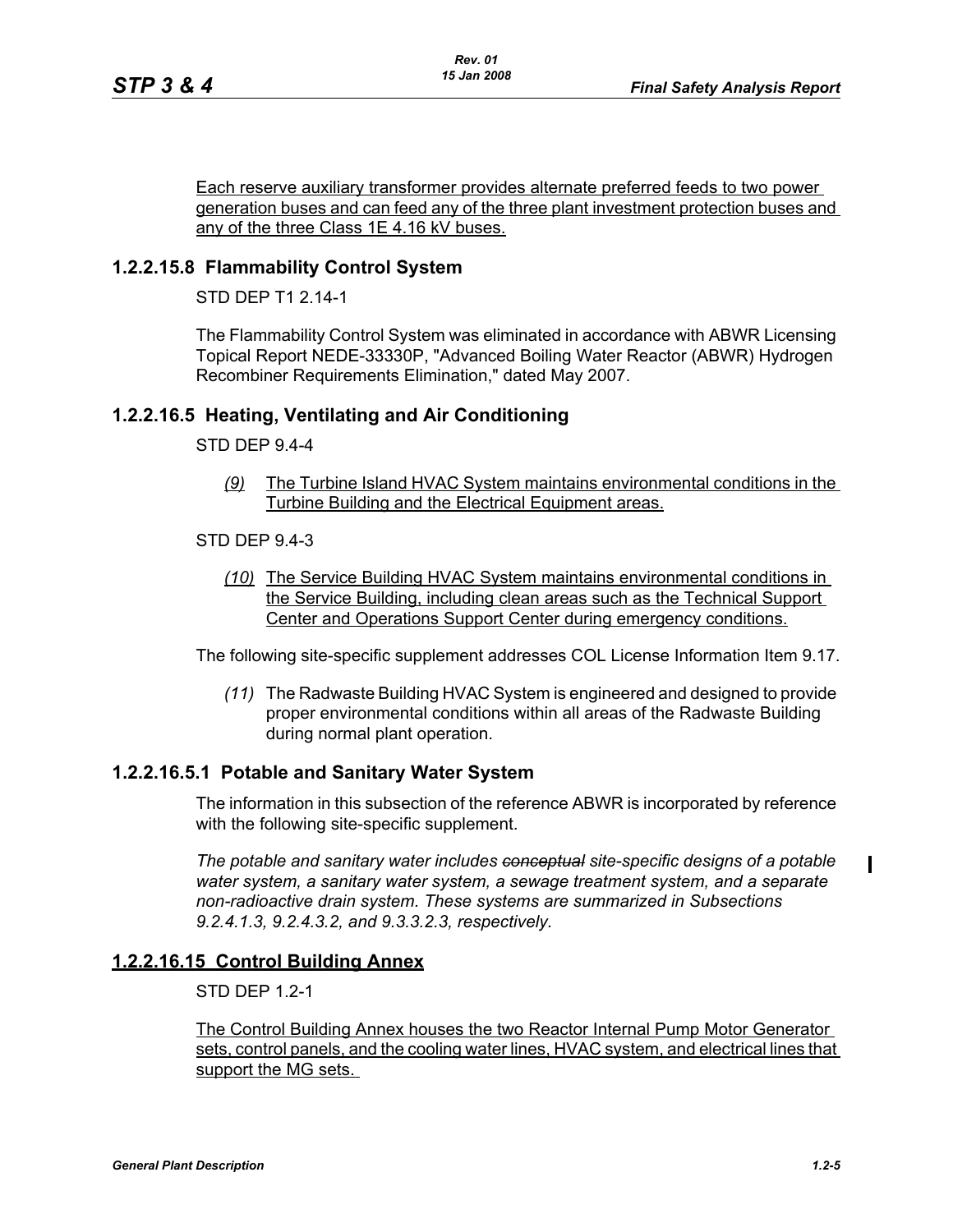Each reserve auxiliary transformer provides alternate preferred feeds to two power generation buses and can feed any of the three plant investment protection buses and any of the three Class 1E 4.16 kV buses.

### **1.2.2.15.8 Flammability Control System**

STD DFP T1 2 14-1

The Flammability Control System was eliminated in accordance with ABWR Licensing Topical Report NEDE-33330P, "Advanced Boiling Water Reactor (ABWR) Hydrogen Recombiner Requirements Elimination," dated May 2007.

### **1.2.2.16.5 Heating, Ventilating and Air Conditioning**

#### STD DEP 9.4-4

*(9)* The Turbine Island HVAC System maintains environmental conditions in the Turbine Building and the Electrical Equipment areas.

#### STD DEP 9.4-3

*(10)* The Service Building HVAC System maintains environmental conditions in the Service Building, including clean areas such as the Technical Support Center and Operations Support Center during emergency conditions.

The following site-specific supplement addresses COL License Information Item 9.17.

*(11)* The Radwaste Building HVAC System is engineered and designed to provide proper environmental conditions within all areas of the Radwaste Building during normal plant operation.

#### **1.2.2.16.5.1 Potable and Sanitary Water System**

The information in this subsection of the reference ABWR is incorporated by reference with the following site-specific supplement.

*The potable and sanitary water includes conceptual site-specific designs of a potable water system, a sanitary water system, a sewage treatment system, and a separate non-radioactive drain system. These systems are summarized in Subsections 9.2.4.1.3, 9.2.4.3.2, and 9.3.3.2.3, respectively.*

#### **1.2.2.16.15 Control Building Annex**

STD DEP 1.2-1

The Control Building Annex houses the two Reactor Internal Pump Motor Generator sets, control panels, and the cooling water lines, HVAC system, and electrical lines that support the MG sets.

 $\mathbf I$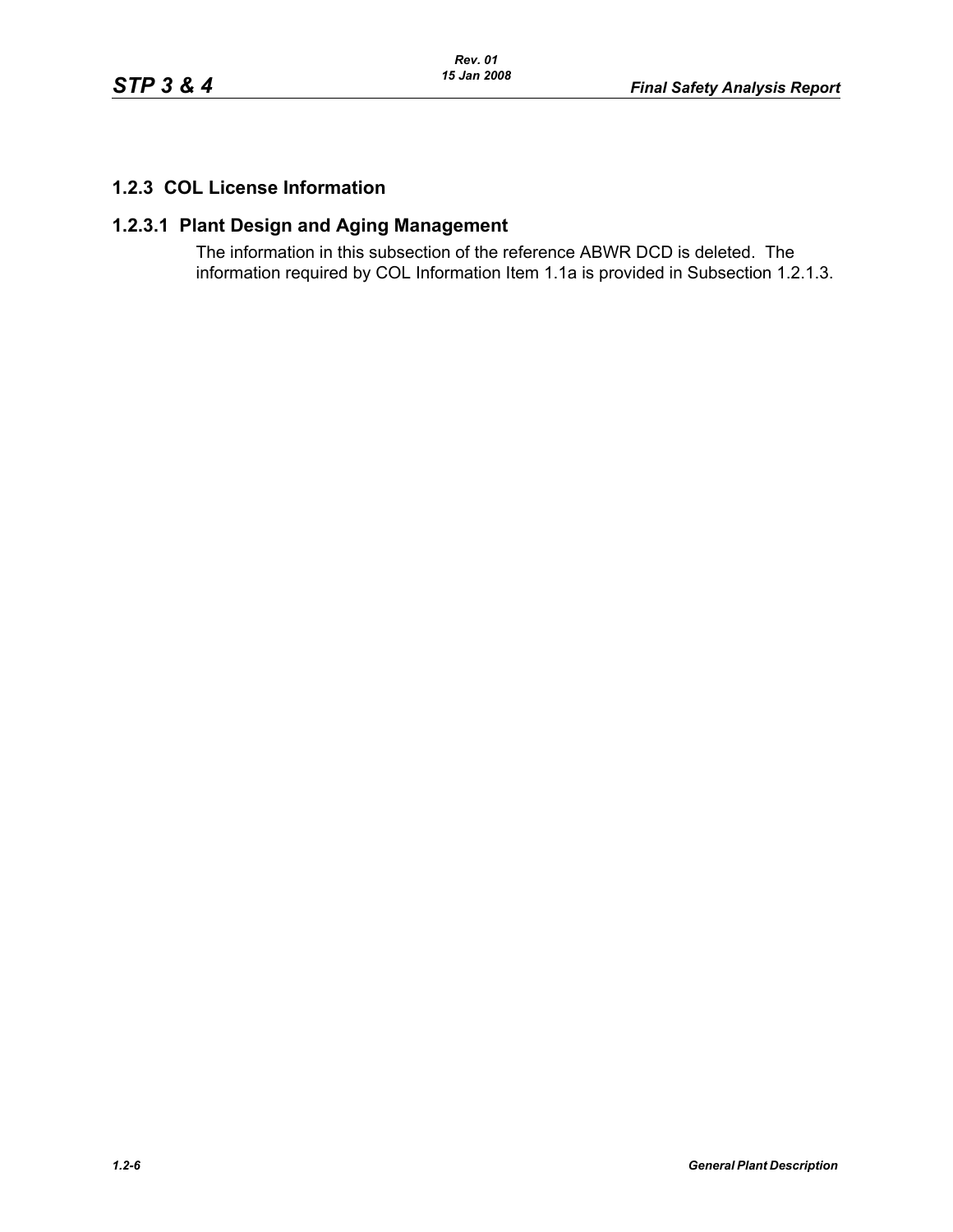# **1.2.3 COL License Information**

# **1.2.3.1 Plant Design and Aging Management**

The information in this subsection of the reference ABWR DCD is deleted. The information required by COL Information Item 1.1a is provided in Subsection [1.2.1.3.](#page-0-0)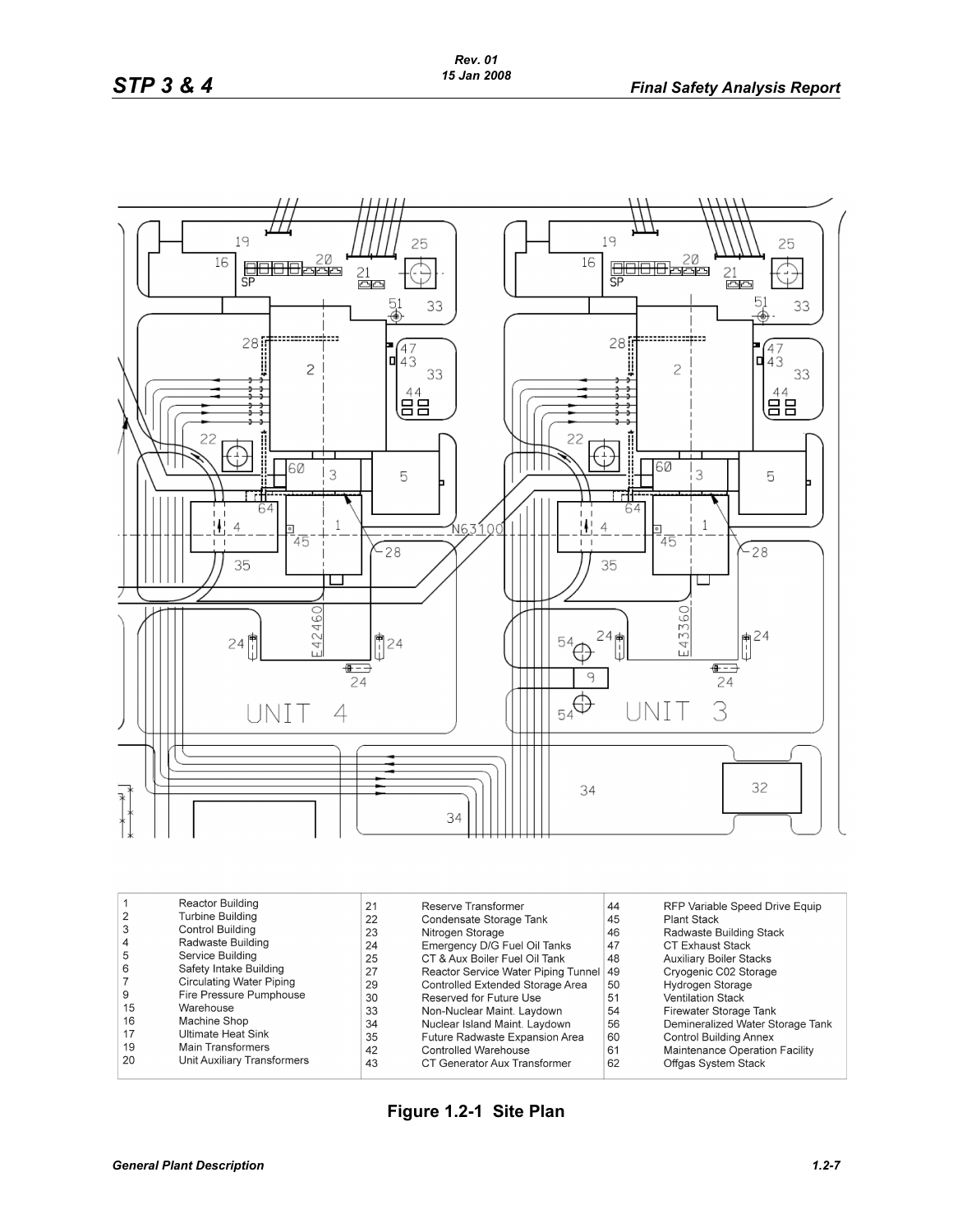

| Reactor Building<br><b>Turbine Building</b><br>Control Building<br>Radwaste Building<br>4<br>5<br>Service Building<br>6<br>Safety Intake Building<br>Circulating Water Piping<br>Fire Pressure Pumphouse<br>9<br>15<br>Warehouse<br>16<br>Machine Shop<br>17<br>Ultimate Heat Sink<br>19<br>Main Transformers<br>20<br>Unit Auxiliary Transformers | 21<br>22<br>23<br>24<br>25<br>27<br>29<br>30<br>33<br>34<br>35<br>42<br>43 | Reserve Transformer<br>Condensate Storage Tank<br>Nitrogen Storage<br>Emergency D/G Fuel Oil Tanks<br>CT & Aux Boiler Fuel Oil Tank<br>Reactor Service Water Piping Tunnel<br>Controlled Extended Storage Area<br>Reserved for Future Use<br>Non-Nuclear Maint. Laydown<br>Nuclear Island Maint. Laydown<br>Future Radwaste Expansion Area<br>Controlled Warehouse<br>CT Generator Aux Transformer | 44<br>45<br>46<br>47<br>48<br>49<br>50<br>51<br>54<br>56<br>60<br>61<br>62 | RFP Variable Speed Drive Equip<br>Plant Stack<br>Radwaste Building Stack<br><b>CT Exhaust Stack</b><br><b>Auxiliary Boiler Stacks</b><br>Cryogenic C02 Storage<br>Hydrogen Storage<br><b>Ventilation Stack</b><br>Firewater Storage Tank<br>Demineralized Water Storage Tank<br><b>Control Building Annex</b><br>Maintenance Operation Facility<br>Offgas System Stack |
|----------------------------------------------------------------------------------------------------------------------------------------------------------------------------------------------------------------------------------------------------------------------------------------------------------------------------------------------------|----------------------------------------------------------------------------|----------------------------------------------------------------------------------------------------------------------------------------------------------------------------------------------------------------------------------------------------------------------------------------------------------------------------------------------------------------------------------------------------|----------------------------------------------------------------------------|------------------------------------------------------------------------------------------------------------------------------------------------------------------------------------------------------------------------------------------------------------------------------------------------------------------------------------------------------------------------|
|----------------------------------------------------------------------------------------------------------------------------------------------------------------------------------------------------------------------------------------------------------------------------------------------------------------------------------------------------|----------------------------------------------------------------------------|----------------------------------------------------------------------------------------------------------------------------------------------------------------------------------------------------------------------------------------------------------------------------------------------------------------------------------------------------------------------------------------------------|----------------------------------------------------------------------------|------------------------------------------------------------------------------------------------------------------------------------------------------------------------------------------------------------------------------------------------------------------------------------------------------------------------------------------------------------------------|

**Figure 1.2-1 Site Plan**